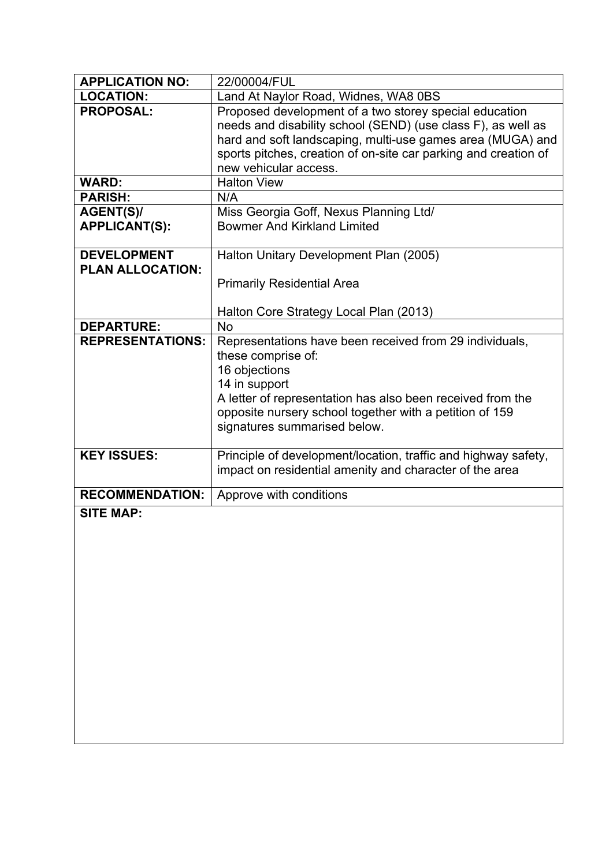| <b>APPLICATION NO:</b>  | 22/00004/FUL                                                                                                                                                                                                                                                                     |
|-------------------------|----------------------------------------------------------------------------------------------------------------------------------------------------------------------------------------------------------------------------------------------------------------------------------|
| <b>LOCATION:</b>        | Land At Naylor Road, Widnes, WA8 0BS                                                                                                                                                                                                                                             |
| <b>PROPOSAL:</b>        | Proposed development of a two storey special education<br>needs and disability school (SEND) (use class F), as well as<br>hard and soft landscaping, multi-use games area (MUGA) and<br>sports pitches, creation of on-site car parking and creation of<br>new vehicular access. |
| <b>WARD:</b>            | <b>Halton View</b>                                                                                                                                                                                                                                                               |
| <b>PARISH:</b>          | N/A                                                                                                                                                                                                                                                                              |
| AGENT(S)/               | Miss Georgia Goff, Nexus Planning Ltd/                                                                                                                                                                                                                                           |
| <b>APPLICANT(S):</b>    | <b>Bowmer And Kirkland Limited</b>                                                                                                                                                                                                                                               |
| <b>DEVELOPMENT</b>      | Halton Unitary Development Plan (2005)                                                                                                                                                                                                                                           |
| <b>PLAN ALLOCATION:</b> |                                                                                                                                                                                                                                                                                  |
|                         | <b>Primarily Residential Area</b>                                                                                                                                                                                                                                                |
|                         |                                                                                                                                                                                                                                                                                  |
|                         | Halton Core Strategy Local Plan (2013)                                                                                                                                                                                                                                           |
| <b>DEPARTURE:</b>       | <b>No</b>                                                                                                                                                                                                                                                                        |
| <b>REPRESENTATIONS:</b> | Representations have been received from 29 individuals,<br>these comprise of:<br>16 objections<br>14 in support<br>A letter of representation has also been received from the<br>opposite nursery school together with a petition of 159<br>signatures summarised below.         |
| <b>KEY ISSUES:</b>      | Principle of development/location, traffic and highway safety,<br>impact on residential amenity and character of the area                                                                                                                                                        |
| <b>RECOMMENDATION:</b>  | Approve with conditions                                                                                                                                                                                                                                                          |
| <b>SITE MAP:</b>        |                                                                                                                                                                                                                                                                                  |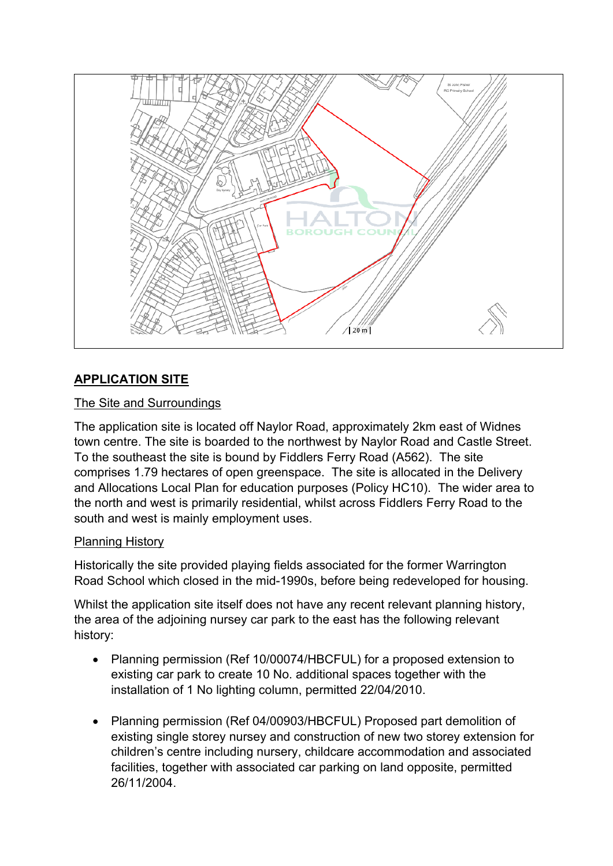

# **APPLICATION SITE**

## The Site and Surroundings

The application site is located off Naylor Road, approximately 2km east of Widnes town centre. The site is boarded to the northwest by Naylor Road and Castle Street. To the southeast the site is bound by Fiddlers Ferry Road (A562). The site comprises 1.79 hectares of open greenspace. The site is allocated in the Delivery and Allocations Local Plan for education purposes (Policy HC10). The wider area to the north and west is primarily residential, whilst across Fiddlers Ferry Road to the south and west is mainly employment uses.

## Planning History

Historically the site provided playing fields associated for the former Warrington Road School which closed in the mid-1990s, before being redeveloped for housing.

Whilst the application site itself does not have any recent relevant planning history, the area of the adjoining nursey car park to the east has the following relevant history:

- Planning permission (Ref 10/00074/HBCFUL) for a proposed extension to existing car park to create 10 No. additional spaces together with the installation of 1 No lighting column, permitted 22/04/2010.
- Planning permission (Ref 04/00903/HBCFUL) Proposed part demolition of existing single storey nursey and construction of new two storey extension for children's centre including nursery, childcare accommodation and associated facilities, together with associated car parking on land opposite, permitted 26/11/2004.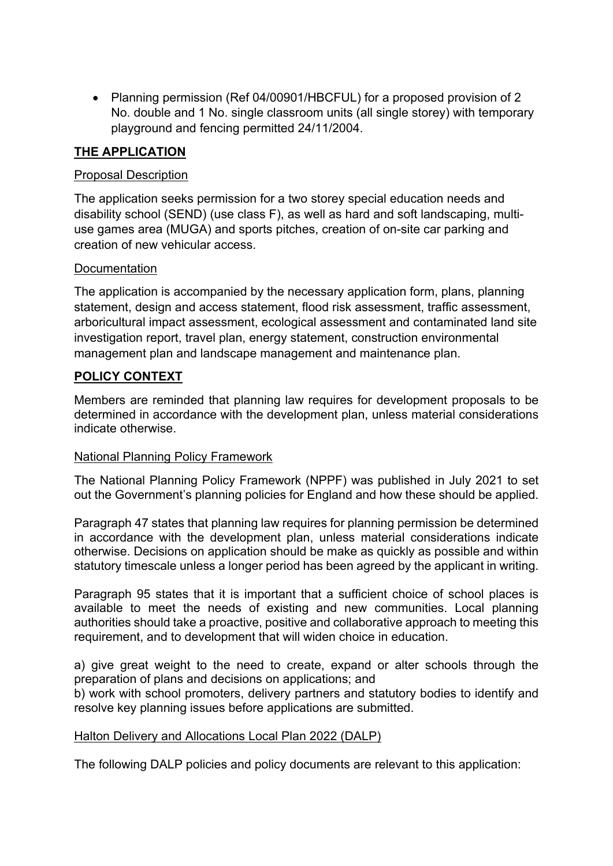Planning permission (Ref 04/00901/HBCFUL) for a proposed provision of 2 No. double and 1 No. single classroom units (all single storey) with temporary playground and fencing permitted 24/11/2004.

## **THE APPLICATION**

## Proposal Description

The application seeks permission for a two storey special education needs and disability school (SEND) (use class F), as well as hard and soft landscaping, multiuse games area (MUGA) and sports pitches, creation of on-site car parking and creation of new vehicular access.

## **Documentation**

The application is accompanied by the necessary application form, plans, planning statement, design and access statement, flood risk assessment, traffic assessment, arboricultural impact assessment, ecological assessment and contaminated land site investigation report, travel plan, energy statement, construction environmental management plan and landscape management and maintenance plan.

## **POLICY CONTEXT**

Members are reminded that planning law requires for development proposals to be determined in accordance with the development plan, unless material considerations indicate otherwise.

### National Planning Policy Framework

The National Planning Policy Framework (NPPF) was published in July 2021 to set out the Government's planning policies for England and how these should be applied.

Paragraph 47 states that planning law requires for planning permission be determined in accordance with the development plan, unless material considerations indicate otherwise. Decisions on application should be make as quickly as possible and within statutory timescale unless a longer period has been agreed by the applicant in writing.

Paragraph 95 states that it is important that a sufficient choice of school places is available to meet the needs of existing and new communities. Local planning authorities should take a proactive, positive and collaborative approach to meeting this requirement, and to development that will widen choice in education.

a) give great weight to the need to create, expand or alter schools through the preparation of plans and decisions on applications; and

b) work with school promoters, delivery partners and statutory bodies to identify and resolve key planning issues before applications are submitted.

### Halton Delivery and Allocations Local Plan 2022 (DALP)

The following DALP policies and policy documents are relevant to this application: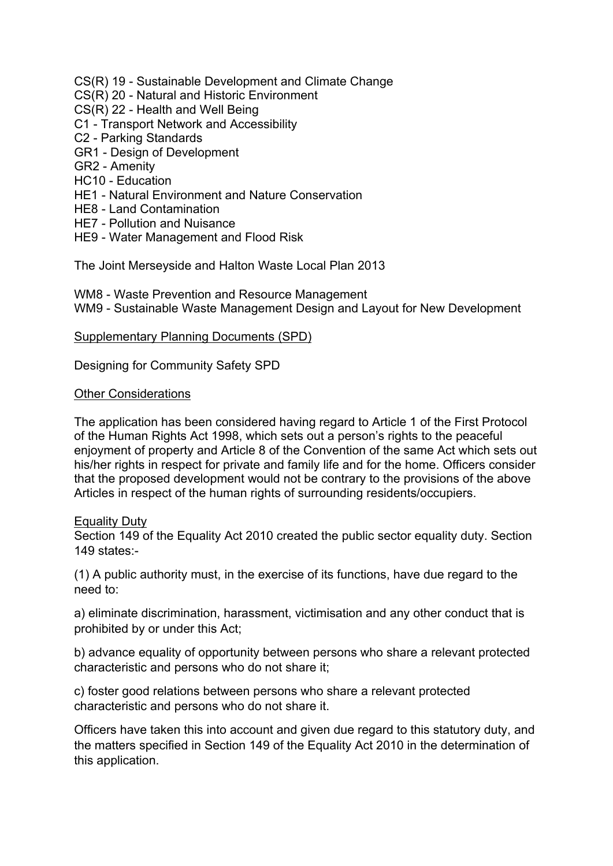- CS(R) 19 Sustainable Development and Climate Change
- CS(R) 20 Natural and Historic Environment
- CS(R) 22 Health and Well Being
- C1 Transport Network and Accessibility
- C2 Parking Standards
- GR1 Design of Development
- GR2 Amenity
- HC10 Education
- HE1 Natural Environment and Nature Conservation
- HE8 Land Contamination
- HE7 Pollution and Nuisance
- HE9 Water Management and Flood Risk

The Joint Merseyside and Halton Waste Local Plan 2013

WM8 - Waste Prevention and Resource Management WM9 - Sustainable Waste Management Design and Layout for New Development

#### Supplementary Planning Documents (SPD)

Designing for Community Safety SPD

#### Other Considerations

The application has been considered having regard to Article 1 of the First Protocol of the Human Rights Act 1998, which sets out a person's rights to the peaceful enjoyment of property and Article 8 of the Convention of the same Act which sets out his/her rights in respect for private and family life and for the home. Officers consider that the proposed development would not be contrary to the provisions of the above Articles in respect of the human rights of surrounding residents/occupiers.

#### Equality Duty

Section 149 of the Equality Act 2010 created the public sector equality duty. Section 149 states:-

(1) A public authority must, in the exercise of its functions, have due regard to the need to:

a) eliminate discrimination, harassment, victimisation and any other conduct that is prohibited by or under this Act;

b) advance equality of opportunity between persons who share a relevant protected characteristic and persons who do not share it;

c) foster good relations between persons who share a relevant protected characteristic and persons who do not share it.

Officers have taken this into account and given due regard to this statutory duty, and the matters specified in Section 149 of the Equality Act 2010 in the determination of this application.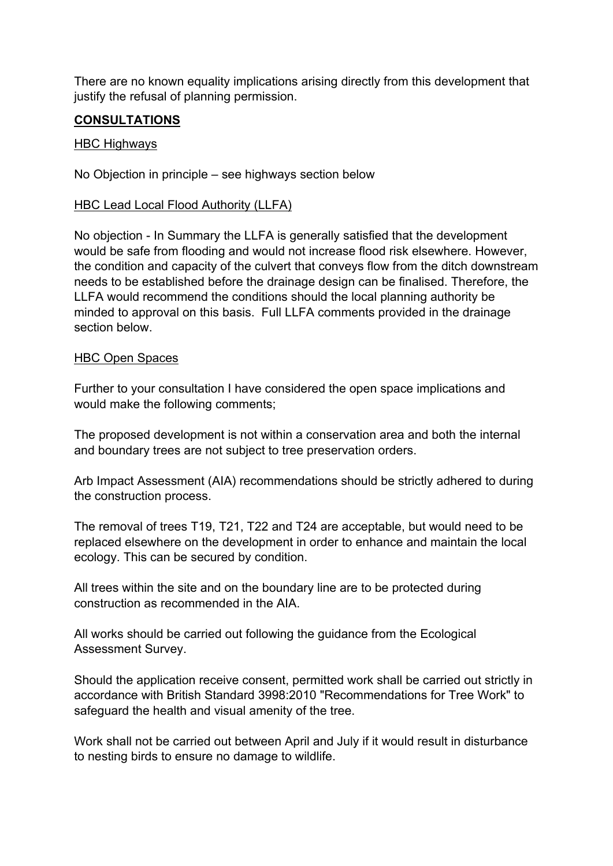There are no known equality implications arising directly from this development that justify the refusal of planning permission.

## **CONSULTATIONS**

#### HBC Highways

No Objection in principle – see highways section below

### HBC Lead Local Flood Authority (LLFA)

No objection - In Summary the LLFA is generally satisfied that the development would be safe from flooding and would not increase flood risk elsewhere. However, the condition and capacity of the culvert that conveys flow from the ditch downstream needs to be established before the drainage design can be finalised. Therefore, the LLFA would recommend the conditions should the local planning authority be minded to approval on this basis. Full LLFA comments provided in the drainage section below.

#### HBC Open Spaces

Further to your consultation I have considered the open space implications and would make the following comments;

The proposed development is not within a conservation area and both the internal and boundary trees are not subject to tree preservation orders.

Arb Impact Assessment (AIA) recommendations should be strictly adhered to during the construction process.

The removal of trees T19, T21, T22 and T24 are acceptable, but would need to be replaced elsewhere on the development in order to enhance and maintain the local ecology. This can be secured by condition.

All trees within the site and on the boundary line are to be protected during construction as recommended in the AIA.

All works should be carried out following the guidance from the Ecological Assessment Survey.

Should the application receive consent, permitted work shall be carried out strictly in accordance with British Standard 3998:2010 "Recommendations for Tree Work" to safeguard the health and visual amenity of the tree.

Work shall not be carried out between April and July if it would result in disturbance to nesting birds to ensure no damage to wildlife.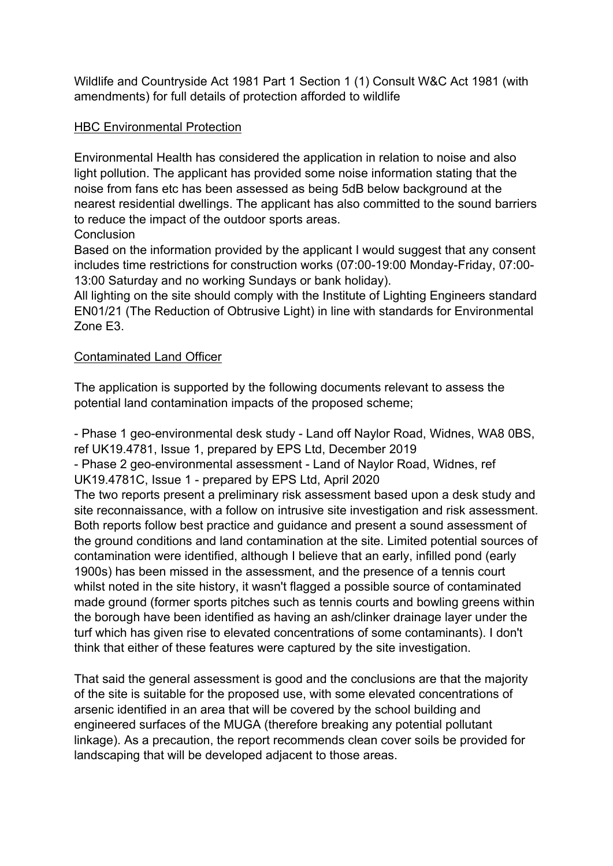Wildlife and Countryside Act 1981 Part 1 Section 1 (1) Consult W&C Act 1981 (with amendments) for full details of protection afforded to wildlife

## **HBC Environmental Protection**

Environmental Health has considered the application in relation to noise and also light pollution. The applicant has provided some noise information stating that the noise from fans etc has been assessed as being 5dB below background at the nearest residential dwellings. The applicant has also committed to the sound barriers to reduce the impact of the outdoor sports areas.

**Conclusion** 

Based on the information provided by the applicant I would suggest that any consent includes time restrictions for construction works (07:00-19:00 Monday-Friday, 07:00- 13:00 Saturday and no working Sundays or bank holiday).

All lighting on the site should comply with the Institute of Lighting Engineers standard EN01/21 (The Reduction of Obtrusive Light) in line with standards for Environmental Zone E3.

## Contaminated Land Officer

The application is supported by the following documents relevant to assess the potential land contamination impacts of the proposed scheme;

- Phase 1 geo-environmental desk study - Land off Naylor Road, Widnes, WA8 0BS, ref UK19.4781, Issue 1, prepared by EPS Ltd, December 2019

- Phase 2 geo-environmental assessment - Land of Naylor Road, Widnes, ref

UK19.4781C, Issue 1 - prepared by EPS Ltd, April 2020

The two reports present a preliminary risk assessment based upon a desk study and site reconnaissance, with a follow on intrusive site investigation and risk assessment. Both reports follow best practice and guidance and present a sound assessment of the ground conditions and land contamination at the site. Limited potential sources of contamination were identified, although I believe that an early, infilled pond (early 1900s) has been missed in the assessment, and the presence of a tennis court whilst noted in the site history, it wasn't flagged a possible source of contaminated made ground (former sports pitches such as tennis courts and bowling greens within the borough have been identified as having an ash/clinker drainage layer under the turf which has given rise to elevated concentrations of some contaminants). I don't think that either of these features were captured by the site investigation.

That said the general assessment is good and the conclusions are that the majority of the site is suitable for the proposed use, with some elevated concentrations of arsenic identified in an area that will be covered by the school building and engineered surfaces of the MUGA (therefore breaking any potential pollutant linkage). As a precaution, the report recommends clean cover soils be provided for landscaping that will be developed adjacent to those areas.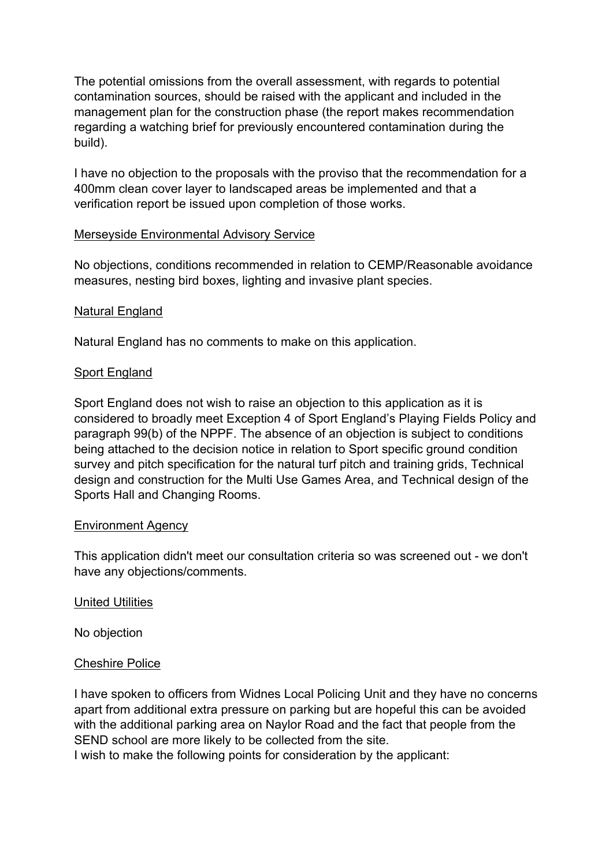The potential omissions from the overall assessment, with regards to potential contamination sources, should be raised with the applicant and included in the management plan for the construction phase (the report makes recommendation regarding a watching brief for previously encountered contamination during the build).

I have no objection to the proposals with the proviso that the recommendation for a 400mm clean cover layer to landscaped areas be implemented and that a verification report be issued upon completion of those works.

### Merseyside Environmental Advisory Service

No objections, conditions recommended in relation to CEMP/Reasonable avoidance measures, nesting bird boxes, lighting and invasive plant species.

### Natural England

Natural England has no comments to make on this application.

## Sport England

Sport England does not wish to raise an objection to this application as it is considered to broadly meet Exception 4 of Sport England's Playing Fields Policy and paragraph 99(b) of the NPPF. The absence of an objection is subject to conditions being attached to the decision notice in relation to Sport specific ground condition survey and pitch specification for the natural turf pitch and training grids, Technical design and construction for the Multi Use Games Area, and Technical design of the Sports Hall and Changing Rooms.

### Environment Agency

This application didn't meet our consultation criteria so was screened out - we don't have any objections/comments.

### United Utilities

No objection

### Cheshire Police

I have spoken to officers from Widnes Local Policing Unit and they have no concerns apart from additional extra pressure on parking but are hopeful this can be avoided with the additional parking area on Naylor Road and the fact that people from the SEND school are more likely to be collected from the site.

I wish to make the following points for consideration by the applicant: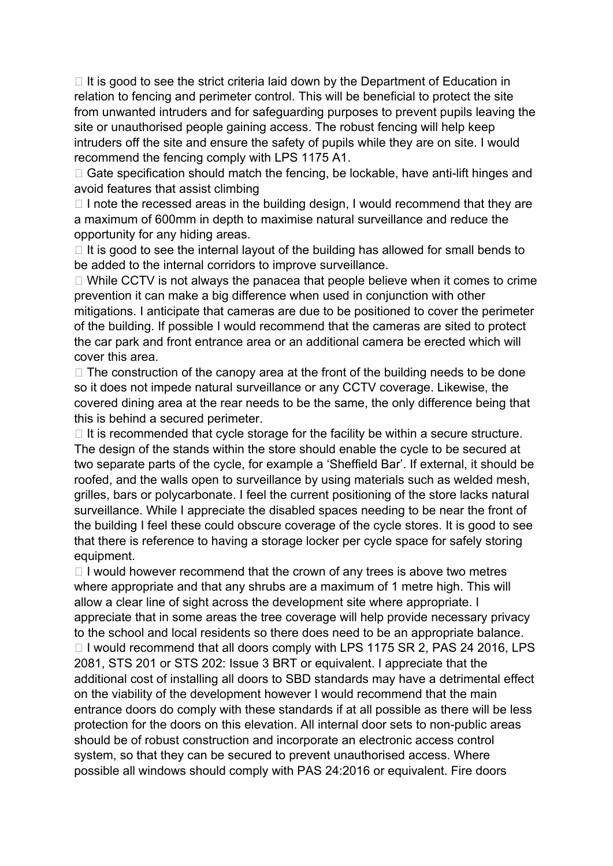$\Box$  It is good to see the strict criteria laid down by the Department of Education in relation to fencing and perimeter control. This will be beneficial to protect the site from unwanted intruders and for safeguarding purposes to prevent pupils leaving the site or unauthorised people gaining access. The robust fencing will help keep intruders off the site and ensure the safety of pupils while they are on site. I would recommend the fencing comply with LPS 1175 A1.

 $\Box$  Gate specification should match the fencing, be lockable, have anti-lift hinges and avoid features that assist climbing

 $\Box$  I note the recessed areas in the building design, I would recommend that they are a maximum of 600mm in depth to maximise natural surveillance and reduce the opportunity for any hiding areas.

 $\Box$  It is good to see the internal layout of the building has allowed for small bends to be added to the internal corridors to improve surveillance.

 $\Box$  While CCTV is not always the panacea that people believe when it comes to crime prevention it can make a big difference when used in conjunction with other mitigations. I anticipate that cameras are due to be positioned to cover the perimeter of the building. If possible I would recommend that the cameras are sited to protect the car park and front entrance area or an additional camera be erected which will cover this area.

 $\Box$  The construction of the canopy area at the front of the building needs to be done so it does not impede natural surveillance or any CCTV coverage. Likewise, the covered dining area at the rear needs to be the same, the only difference being that this is behind a secured perimeter.

 $\Box$  It is recommended that cycle storage for the facility be within a secure structure. The design of the stands within the store should enable the cycle to be secured at two separate parts of the cycle, for example a 'Sheffield Bar'. If external, it should be roofed, and the walls open to surveillance by using materials such as welded mesh, grilles, bars or polycarbonate. I feel the current positioning of the store lacks natural surveillance. While I appreciate the disabled spaces needing to be near the front of the building I feel these could obscure coverage of the cycle stores. It is good to see that there is reference to having a storage locker per cycle space for safely storing equipment.

 $\Box$  I would however recommend that the crown of any trees is above two metres where appropriate and that any shrubs are a maximum of 1 metre high. This will allow a clear line of sight across the development site where appropriate. I appreciate that in some areas the tree coverage will help provide necessary privacy to the school and local residents so there does need to be an appropriate balance.  $\Box$  I would recommend that all doors comply with LPS 1175 SR 2, PAS 24 2016, LPS 2081, STS 201 or STS 202: Issue 3 BRT or equivalent. I appreciate that the additional cost of installing all doors to SBD standards may have a detrimental effect on the viability of the development however I would recommend that the main entrance doors do comply with these standards if at all possible as there will be less protection for the doors on this elevation. All internal door sets to non-public areas should be of robust construction and incorporate an electronic access control system, so that they can be secured to prevent unauthorised access. Where possible all windows should comply with PAS 24:2016 or equivalent. Fire doors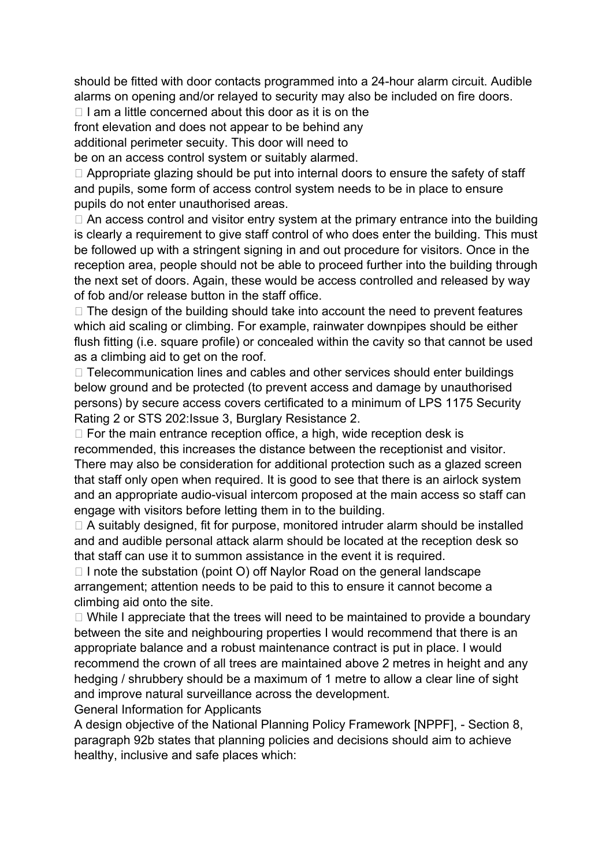should be fitted with door contacts programmed into a 24-hour alarm circuit. Audible alarms on opening and/or relayed to security may also be included on fire doors.

 $\Box$  I am a little concerned about this door as it is on the

front elevation and does not appear to be behind any

additional perimeter secuity. This door will need to

be on an access control system or suitably alarmed.

 $\Box$  Appropriate glazing should be put into internal doors to ensure the safety of staff and pupils, some form of access control system needs to be in place to ensure pupils do not enter unauthorised areas.

 $\Box$  An access control and visitor entry system at the primary entrance into the building is clearly a requirement to give staff control of who does enter the building. This must be followed up with a stringent signing in and out procedure for visitors. Once in the reception area, people should not be able to proceed further into the building through the next set of doors. Again, these would be access controlled and released by way of fob and/or release button in the staff office.

 $\Box$  The design of the building should take into account the need to prevent features which aid scaling or climbing. For example, rainwater downpipes should be either flush fitting (i.e. square profile) or concealed within the cavity so that cannot be used as a climbing aid to get on the roof.

 $\Box$  Telecommunication lines and cables and other services should enter buildings below ground and be protected (to prevent access and damage by unauthorised persons) by secure access covers certificated to a minimum of LPS 1175 Security Rating 2 or STS 202:Issue 3, Burglary Resistance 2.

 $\Box$  For the main entrance reception office, a high, wide reception desk is recommended, this increases the distance between the receptionist and visitor. There may also be consideration for additional protection such as a glazed screen that staff only open when required. It is good to see that there is an airlock system and an appropriate audio-visual intercom proposed at the main access so staff can engage with visitors before letting them in to the building.

 $\Box$  A suitably designed, fit for purpose, monitored intruder alarm should be installed and and audible personal attack alarm should be located at the reception desk so that staff can use it to summon assistance in the event it is required.

 $\Box$  I note the substation (point O) off Naylor Road on the general landscape arrangement; attention needs to be paid to this to ensure it cannot become a climbing aid onto the site.

 $\Box$  While I appreciate that the trees will need to be maintained to provide a boundary between the site and neighbouring properties I would recommend that there is an appropriate balance and a robust maintenance contract is put in place. I would recommend the crown of all trees are maintained above 2 metres in height and any hedging / shrubbery should be a maximum of 1 metre to allow a clear line of sight and improve natural surveillance across the development.

General Information for Applicants

A design objective of the National Planning Policy Framework [NPPF], - Section 8, paragraph 92b states that planning policies and decisions should aim to achieve healthy, inclusive and safe places which: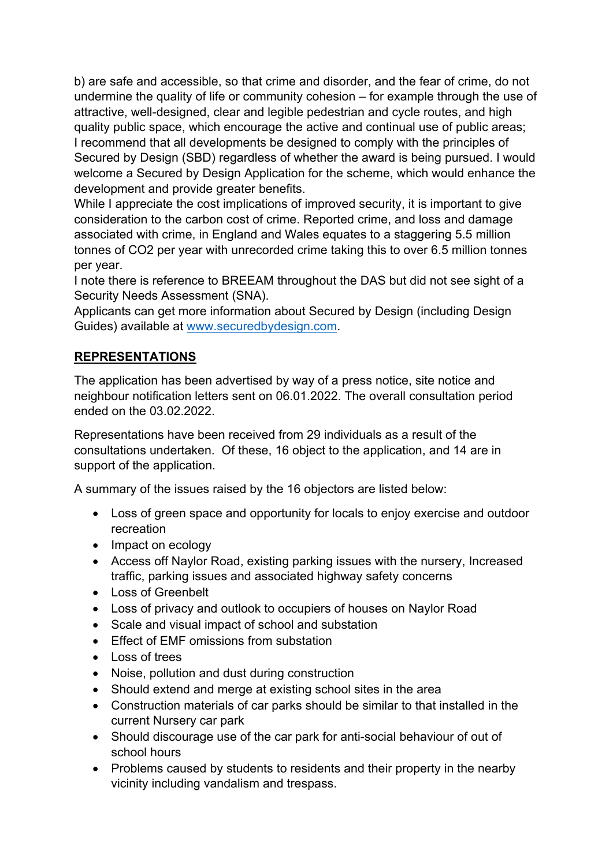b) are safe and accessible, so that crime and disorder, and the fear of crime, do not undermine the quality of life or community cohesion – for example through the use of attractive, well-designed, clear and legible pedestrian and cycle routes, and high quality public space, which encourage the active and continual use of public areas; I recommend that all developments be designed to comply with the principles of Secured by Design (SBD) regardless of whether the award is being pursued. I would welcome a Secured by Design Application for the scheme, which would enhance the development and provide greater benefits.

While I appreciate the cost implications of improved security, it is important to give consideration to the carbon cost of crime. Reported crime, and loss and damage associated with crime, in England and Wales equates to a staggering 5.5 million tonnes of CO2 per year with unrecorded crime taking this to over 6.5 million tonnes per year.

I note there is reference to BREEAM throughout the DAS but did not see sight of a Security Needs Assessment (SNA).

Applicants can get more information about Secured by Design (including Design Guides) available at [www.securedbydesign.com](http://www.securedbydesign.com/).

# **REPRESENTATIONS**

The application has been advertised by way of a press notice, site notice and neighbour notification letters sent on 06.01.2022. The overall consultation period ended on the 03.02.2022.

Representations have been received from 29 individuals as a result of the consultations undertaken. Of these, 16 object to the application, and 14 are in support of the application.

A summary of the issues raised by the 16 objectors are listed below:

- Loss of green space and opportunity for locals to enjoy exercise and outdoor recreation
- Impact on ecology
- Access off Naylor Road, existing parking issues with the nursery, Increased traffic, parking issues and associated highway safety concerns
- Loss of Greenbelt
- Loss of privacy and outlook to occupiers of houses on Naylor Road
- Scale and visual impact of school and substation
- **Effect of EMF omissions from substation**
- Loss of trees
- Noise, pollution and dust during construction
- Should extend and merge at existing school sites in the area
- Construction materials of car parks should be similar to that installed in the current Nursery car park
- Should discourage use of the car park for anti-social behaviour of out of school hours
- Problems caused by students to residents and their property in the nearby vicinity including vandalism and trespass.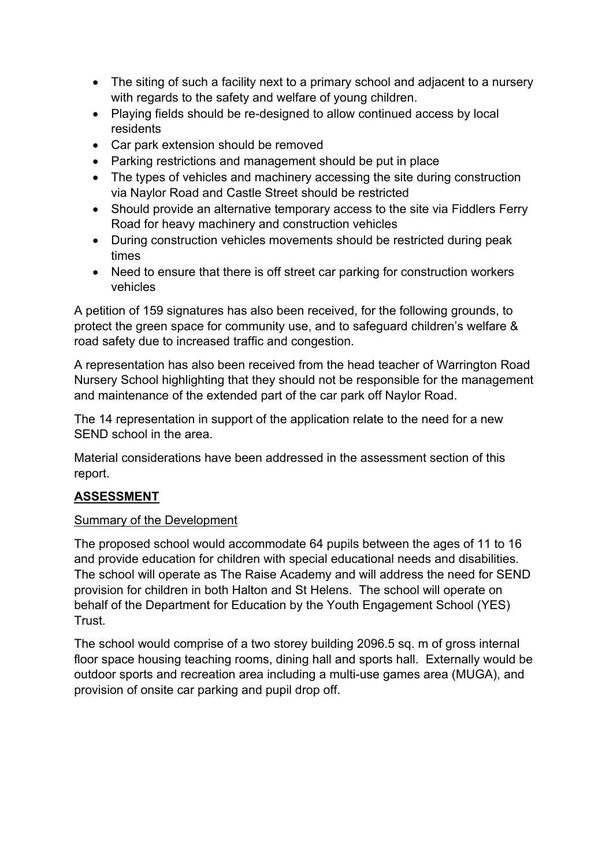- The siting of such a facility next to a primary school and adjacent to a nursery with regards to the safety and welfare of young children.
- Playing fields should be re-designed to allow continued access by local residents
- Car park extension should be removed
- Parking restrictions and management should be put in place
- The types of vehicles and machinery accessing the site during construction via Naylor Road and Castle Street should be restricted
- Should provide an alternative temporary access to the site via Fiddlers Ferry Road for heavy machinery and construction vehicles
- During construction vehicles movements should be restricted during peak times
- Need to ensure that there is off street car parking for construction workers vehicles

A petition of 159 signatures has also been received, for the following grounds, to protect the green space for community use, and to safeguard children's welfare & road safety due to increased traffic and congestion.

A representation has also been received from the head teacher of Warrington Road Nursery School highlighting that they should not be responsible for the management and maintenance of the extended part of the car park off Naylor Road.

The 14 representation in support of the application relate to the need for a new SEND school in the area.

Material considerations have been addressed in the assessment section of this report.

# **ASSESSMENT**

### Summary of the Development

The proposed school would accommodate 64 pupils between the ages of 11 to 16 and provide education for children with special educational needs and disabilities. The school will operate as The Raise Academy and will address the need for SEND provision for children in both Halton and St Helens. The school will operate on behalf of the Department for Education by the Youth Engagement School (YES) Trust.

The school would comprise of a two storey building 2096.5 sq. m of gross internal floor space housing teaching rooms, dining hall and sports hall. Externally would be outdoor sports and recreation area including a multi-use games area (MUGA), and provision of onsite car parking and pupil drop off.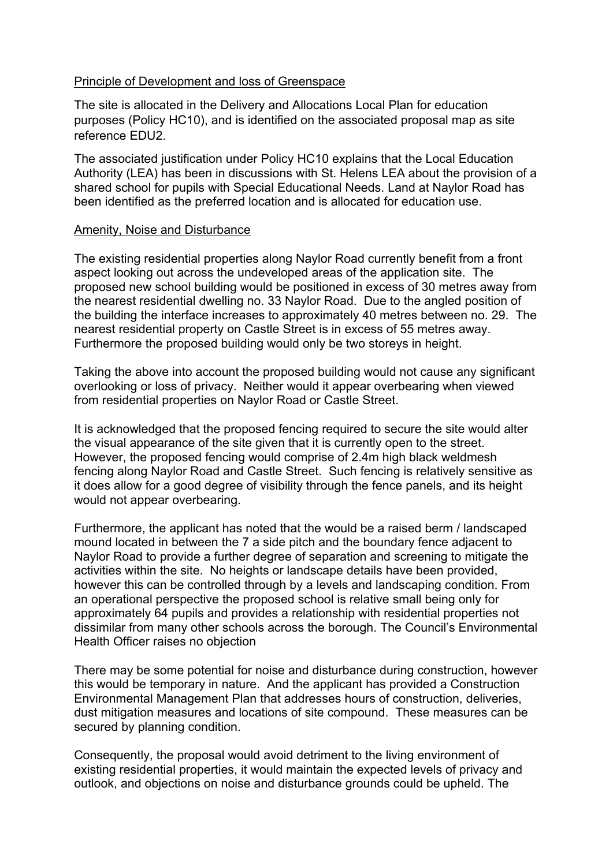#### Principle of Development and loss of Greenspace

The site is allocated in the Delivery and Allocations Local Plan for education purposes (Policy HC10), and is identified on the associated proposal map as site reference EDU2.

The associated justification under Policy HC10 explains that the Local Education Authority (LEA) has been in discussions with St. Helens LEA about the provision of a shared school for pupils with Special Educational Needs. Land at Naylor Road has been identified as the preferred location and is allocated for education use.

#### Amenity, Noise and Disturbance

The existing residential properties along Naylor Road currently benefit from a front aspect looking out across the undeveloped areas of the application site. The proposed new school building would be positioned in excess of 30 metres away from the nearest residential dwelling no. 33 Naylor Road. Due to the angled position of the building the interface increases to approximately 40 metres between no. 29. The nearest residential property on Castle Street is in excess of 55 metres away. Furthermore the proposed building would only be two storeys in height.

Taking the above into account the proposed building would not cause any significant overlooking or loss of privacy. Neither would it appear overbearing when viewed from residential properties on Naylor Road or Castle Street.

It is acknowledged that the proposed fencing required to secure the site would alter the visual appearance of the site given that it is currently open to the street. However, the proposed fencing would comprise of 2.4m high black weldmesh fencing along Naylor Road and Castle Street. Such fencing is relatively sensitive as it does allow for a good degree of visibility through the fence panels, and its height would not appear overbearing.

Furthermore, the applicant has noted that the would be a raised berm / landscaped mound located in between the 7 a side pitch and the boundary fence adjacent to Naylor Road to provide a further degree of separation and screening to mitigate the activities within the site. No heights or landscape details have been provided, however this can be controlled through by a levels and landscaping condition. From an operational perspective the proposed school is relative small being only for approximately 64 pupils and provides a relationship with residential properties not dissimilar from many other schools across the borough. The Council's Environmental Health Officer raises no objection

There may be some potential for noise and disturbance during construction, however this would be temporary in nature. And the applicant has provided a Construction Environmental Management Plan that addresses hours of construction, deliveries, dust mitigation measures and locations of site compound. These measures can be secured by planning condition.

Consequently, the proposal would avoid detriment to the living environment of existing residential properties, it would maintain the expected levels of privacy and outlook, and objections on noise and disturbance grounds could be upheld. The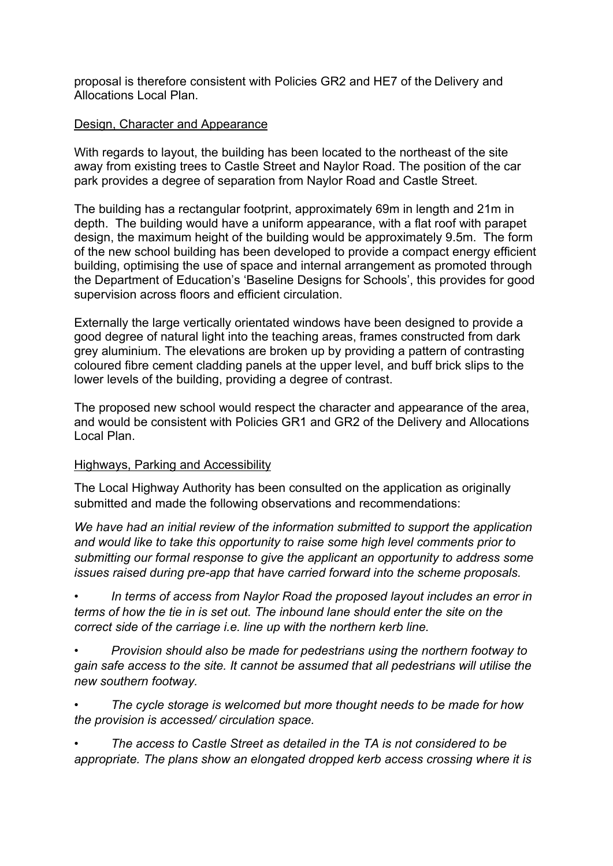proposal is therefore consistent with Policies GR2 and HE7 of the Delivery and Allocations Local Plan.

## Design, Character and Appearance

With regards to layout, the building has been located to the northeast of the site away from existing trees to Castle Street and Naylor Road. The position of the car park provides a degree of separation from Naylor Road and Castle Street.

The building has a rectangular footprint, approximately 69m in length and 21m in depth. The building would have a uniform appearance, with a flat roof with parapet design, the maximum height of the building would be approximately 9.5m. The form of the new school building has been developed to provide a compact energy efficient building, optimising the use of space and internal arrangement as promoted through the Department of Education's 'Baseline Designs for Schools', this provides for good supervision across floors and efficient circulation.

Externally the large vertically orientated windows have been designed to provide a good degree of natural light into the teaching areas, frames constructed from dark grey aluminium. The elevations are broken up by providing a pattern of contrasting coloured fibre cement cladding panels at the upper level, and buff brick slips to the lower levels of the building, providing a degree of contrast.

The proposed new school would respect the character and appearance of the area, and would be consistent with Policies GR1 and GR2 of the Delivery and Allocations Local Plan.

### Highways, Parking and Accessibility

The Local Highway Authority has been consulted on the application as originally submitted and made the following observations and recommendations:

*We have had an initial review of the information submitted to support the application and would like to take this opportunity to raise some high level comments prior to submitting our formal response to give the applicant an opportunity to address some issues raised during pre-app that have carried forward into the scheme proposals.*

*• In terms of access from Naylor Road the proposed layout includes an error in terms of how the tie in is set out. The inbound lane should enter the site on the correct side of the carriage i.e. line up with the northern kerb line.*

*• Provision should also be made for pedestrians using the northern footway to gain safe access to the site. It cannot be assumed that all pedestrians will utilise the new southern footway.*

*• The cycle storage is welcomed but more thought needs to be made for how the provision is accessed/ circulation space.*

*• The access to Castle Street as detailed in the TA is not considered to be appropriate. The plans show an elongated dropped kerb access crossing where it is*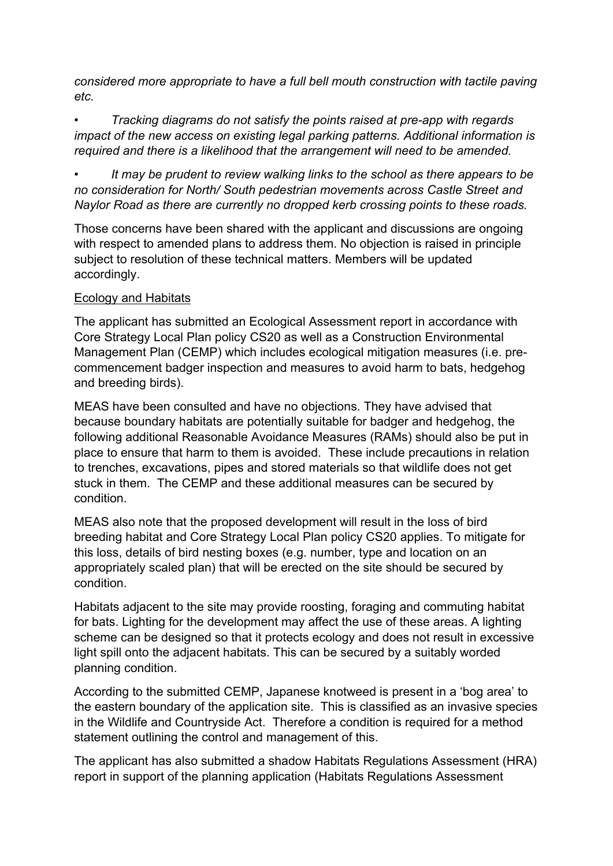*considered more appropriate to have a full bell mouth construction with tactile paving etc.*

*• Tracking diagrams do not satisfy the points raised at pre-app with regards impact of the new access on existing legal parking patterns. Additional information is required and there is a likelihood that the arrangement will need to be amended.*

*• It may be prudent to review walking links to the school as there appears to be no consideration for North/ South pedestrian movements across Castle Street and Naylor Road as there are currently no dropped kerb crossing points to these roads.*

Those concerns have been shared with the applicant and discussions are ongoing with respect to amended plans to address them. No objection is raised in principle subject to resolution of these technical matters. Members will be updated accordingly.

## Ecology and Habitats

The applicant has submitted an Ecological Assessment report in accordance with Core Strategy Local Plan policy CS20 as well as a Construction Environmental Management Plan (CEMP) which includes ecological mitigation measures (i.e. precommencement badger inspection and measures to avoid harm to bats, hedgehog and breeding birds).

MEAS have been consulted and have no objections. They have advised that because boundary habitats are potentially suitable for badger and hedgehog, the following additional Reasonable Avoidance Measures (RAMs) should also be put in place to ensure that harm to them is avoided. These include precautions in relation to trenches, excavations, pipes and stored materials so that wildlife does not get stuck in them. The CEMP and these additional measures can be secured by condition.

MEAS also note that the proposed development will result in the loss of bird breeding habitat and Core Strategy Local Plan policy CS20 applies. To mitigate for this loss, details of bird nesting boxes (e.g. number, type and location on an appropriately scaled plan) that will be erected on the site should be secured by condition.

Habitats adjacent to the site may provide roosting, foraging and commuting habitat for bats. Lighting for the development may affect the use of these areas. A lighting scheme can be designed so that it protects ecology and does not result in excessive light spill onto the adjacent habitats. This can be secured by a suitably worded planning condition.

According to the submitted CEMP, Japanese knotweed is present in a 'bog area' to the eastern boundary of the application site. This is classified as an invasive species in the Wildlife and Countryside Act. Therefore a condition is required for a method statement outlining the control and management of this.

The applicant has also submitted a shadow Habitats Regulations Assessment (HRA) report in support of the planning application (Habitats Regulations Assessment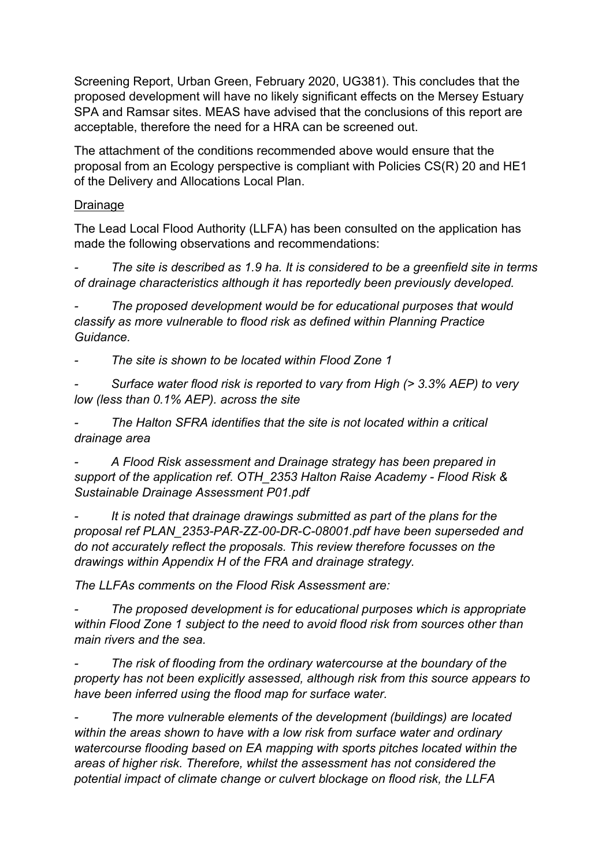Screening Report, Urban Green, February 2020, UG381). This concludes that the proposed development will have no likely significant effects on the Mersey Estuary SPA and Ramsar sites. MEAS have advised that the conclusions of this report are acceptable, therefore the need for a HRA can be screened out.

The attachment of the conditions recommended above would ensure that the proposal from an Ecology perspective is compliant with Policies CS(R) 20 and HE1 of the Delivery and Allocations Local Plan.

## Drainage

The Lead Local Flood Authority (LLFA) has been consulted on the application has made the following observations and recommendations:

*- The site is described as 1.9 ha. It is considered to be a greenfield site in terms of drainage characteristics although it has reportedly been previously developed.*

*- The proposed development would be for educational purposes that would classify as more vulnerable to flood risk as defined within Planning Practice Guidance.*

*- The site is shown to be located within Flood Zone 1*

*- Surface water flood risk is reported to vary from High (> 3.3% AEP) to very low (less than 0.1% AEP). across the site*

*- The Halton SFRA identifies that the site is not located within a critical drainage area*

*- A Flood Risk assessment and Drainage strategy has been prepared in support of the application ref. OTH\_2353 Halton Raise Academy - Flood Risk & Sustainable Drainage Assessment P01.pdf*

*- It is noted that drainage drawings submitted as part of the plans for the proposal ref PLAN\_2353-PAR-ZZ-00-DR-C-08001.pdf have been superseded and do not accurately reflect the proposals. This review therefore focusses on the drawings within Appendix H of the FRA and drainage strategy.*

*The LLFAs comments on the Flood Risk Assessment are:*

*- The proposed development is for educational purposes which is appropriate within Flood Zone 1 subject to the need to avoid flood risk from sources other than main rivers and the sea.*

*- The risk of flooding from the ordinary watercourse at the boundary of the property has not been explicitly assessed, although risk from this source appears to have been inferred using the flood map for surface water.*

*- The more vulnerable elements of the development (buildings) are located within the areas shown to have with a low risk from surface water and ordinary watercourse flooding based on EA mapping with sports pitches located within the areas of higher risk. Therefore, whilst the assessment has not considered the potential impact of climate change or culvert blockage on flood risk, the LLFA*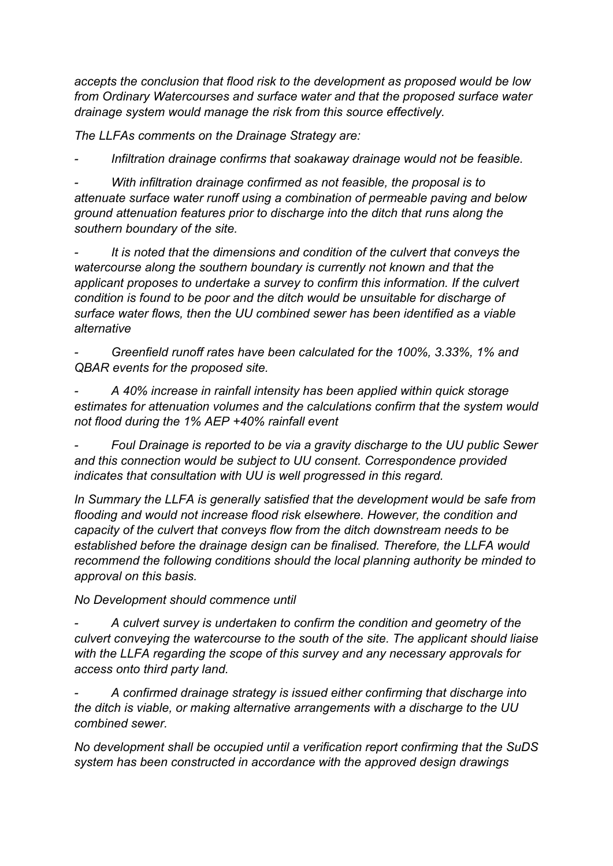*accepts the conclusion that flood risk to the development as proposed would be low from Ordinary Watercourses and surface water and that the proposed surface water drainage system would manage the risk from this source effectively.*

*The LLFAs comments on the Drainage Strategy are:*

*- Infiltration drainage confirms that soakaway drainage would not be feasible.*

*- With infiltration drainage confirmed as not feasible, the proposal is to attenuate surface water runoff using a combination of permeable paving and below ground attenuation features prior to discharge into the ditch that runs along the southern boundary of the site.*

*- It is noted that the dimensions and condition of the culvert that conveys the watercourse along the southern boundary is currently not known and that the applicant proposes to undertake a survey to confirm this information. If the culvert condition is found to be poor and the ditch would be unsuitable for discharge of surface water flows, then the UU combined sewer has been identified as a viable alternative*

*- Greenfield runoff rates have been calculated for the 100%, 3.33%, 1% and QBAR events for the proposed site.*

*- A 40% increase in rainfall intensity has been applied within quick storage estimates for attenuation volumes and the calculations confirm that the system would not flood during the 1% AEP +40% rainfall event*

*- Foul Drainage is reported to be via a gravity discharge to the UU public Sewer and this connection would be subject to UU consent. Correspondence provided indicates that consultation with UU is well progressed in this regard.*

*In Summary the LLFA is generally satisfied that the development would be safe from flooding and would not increase flood risk elsewhere. However, the condition and capacity of the culvert that conveys flow from the ditch downstream needs to be established before the drainage design can be finalised. Therefore, the LLFA would recommend the following conditions should the local planning authority be minded to approval on this basis.*

*No Development should commence until*

*- A culvert survey is undertaken to confirm the condition and geometry of the culvert conveying the watercourse to the south of the site. The applicant should liaise with the LLFA regarding the scope of this survey and any necessary approvals for access onto third party land.*

*- A confirmed drainage strategy is issued either confirming that discharge into the ditch is viable, or making alternative arrangements with a discharge to the UU combined sewer.*

*No development shall be occupied until a verification report confirming that the SuDS system has been constructed in accordance with the approved design drawings*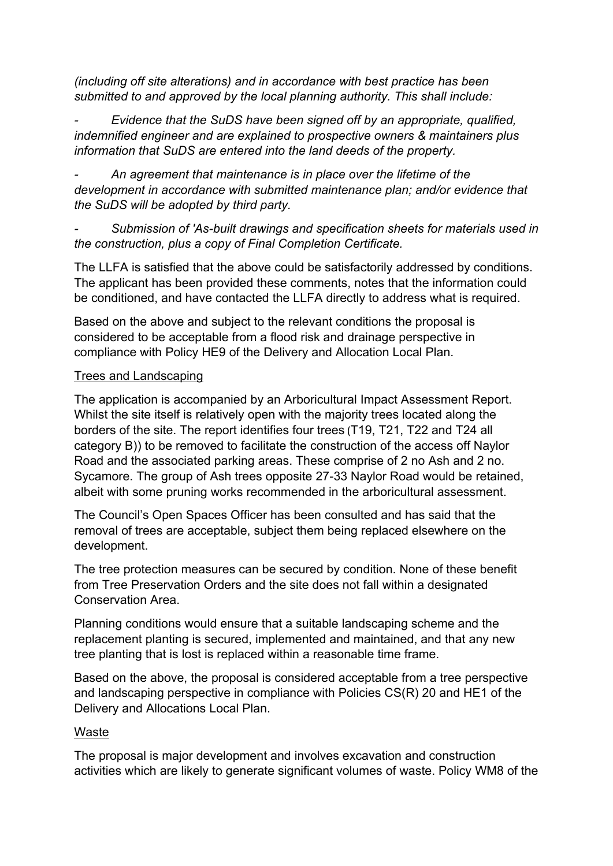*(including off site alterations) and in accordance with best practice has been submitted to and approved by the local planning authority. This shall include:*

*- Evidence that the SuDS have been signed off by an appropriate, qualified, indemnified engineer and are explained to prospective owners & maintainers plus information that SuDS are entered into the land deeds of the property.*

*- An agreement that maintenance is in place over the lifetime of the development in accordance with submitted maintenance plan; and/or evidence that the SuDS will be adopted by third party.*

*- Submission of 'As-built drawings and specification sheets for materials used in the construction, plus a copy of Final Completion Certificate.*

The LLFA is satisfied that the above could be satisfactorily addressed by conditions. The applicant has been provided these comments, notes that the information could be conditioned, and have contacted the LLFA directly to address what is required.

Based on the above and subject to the relevant conditions the proposal is considered to be acceptable from a flood risk and drainage perspective in compliance with Policy HE9 of the Delivery and Allocation Local Plan.

## Trees and Landscaping

The application is accompanied by an Arboricultural Impact Assessment Report. Whilst the site itself is relatively open with the majority trees located along the borders of the site. The report identifies four trees (T19, T21, T22 and T24 all category B)) to be removed to facilitate the construction of the access off Naylor Road and the associated parking areas. These comprise of 2 no Ash and 2 no. Sycamore. The group of Ash trees opposite 27-33 Naylor Road would be retained, albeit with some pruning works recommended in the arboricultural assessment.

The Council's Open Spaces Officer has been consulted and has said that the removal of trees are acceptable, subject them being replaced elsewhere on the development.

The tree protection measures can be secured by condition. None of these benefit from Tree Preservation Orders and the site does not fall within a designated Conservation Area.

Planning conditions would ensure that a suitable landscaping scheme and the replacement planting is secured, implemented and maintained, and that any new tree planting that is lost is replaced within a reasonable time frame.

Based on the above, the proposal is considered acceptable from a tree perspective and landscaping perspective in compliance with Policies CS(R) 20 and HE1 of the Delivery and Allocations Local Plan.

## Waste

The proposal is major development and involves excavation and construction activities which are likely to generate significant volumes of waste. Policy WM8 of the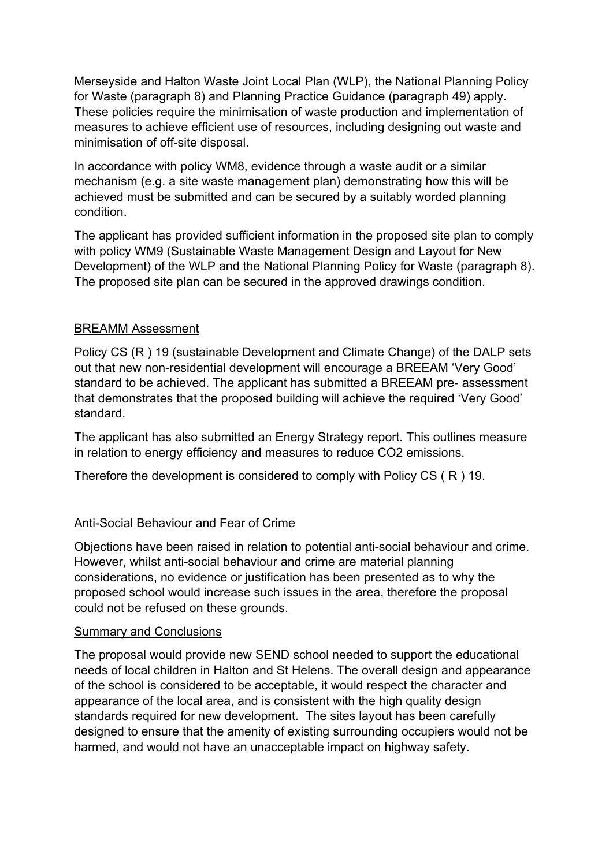Merseyside and Halton Waste Joint Local Plan (WLP), the National Planning Policy for Waste (paragraph 8) and Planning Practice Guidance (paragraph 49) apply. These policies require the minimisation of waste production and implementation of measures to achieve efficient use of resources, including designing out waste and minimisation of off-site disposal.

In accordance with policy WM8, evidence through a waste audit or a similar mechanism (e.g. a site waste management plan) demonstrating how this will be achieved must be submitted and can be secured by a suitably worded planning condition.

The applicant has provided sufficient information in the proposed site plan to comply with policy WM9 (Sustainable Waste Management Design and Layout for New Development) of the WLP and the National Planning Policy for Waste (paragraph 8). The proposed site plan can be secured in the approved drawings condition.

## BREAMM Assessment

Policy CS (R ) 19 (sustainable Development and Climate Change) of the DALP sets out that new non-residential development will encourage a BREEAM 'Very Good' standard to be achieved. The applicant has submitted a BREEAM pre- assessment that demonstrates that the proposed building will achieve the required 'Very Good' standard.

The applicant has also submitted an Energy Strategy report. This outlines measure in relation to energy efficiency and measures to reduce CO2 emissions.

Therefore the development is considered to comply with Policy CS ( R ) 19.

# Anti-Social Behaviour and Fear of Crime

Objections have been raised in relation to potential anti-social behaviour and crime. However, whilst anti-social behaviour and crime are material planning considerations, no evidence or justification has been presented as to why the proposed school would increase such issues in the area, therefore the proposal could not be refused on these grounds.

## Summary and Conclusions

The proposal would provide new SEND school needed to support the educational needs of local children in Halton and St Helens. The overall design and appearance of the school is considered to be acceptable, it would respect the character and appearance of the local area, and is consistent with the high quality design standards required for new development. The sites layout has been carefully designed to ensure that the amenity of existing surrounding occupiers would not be harmed, and would not have an unacceptable impact on highway safety.